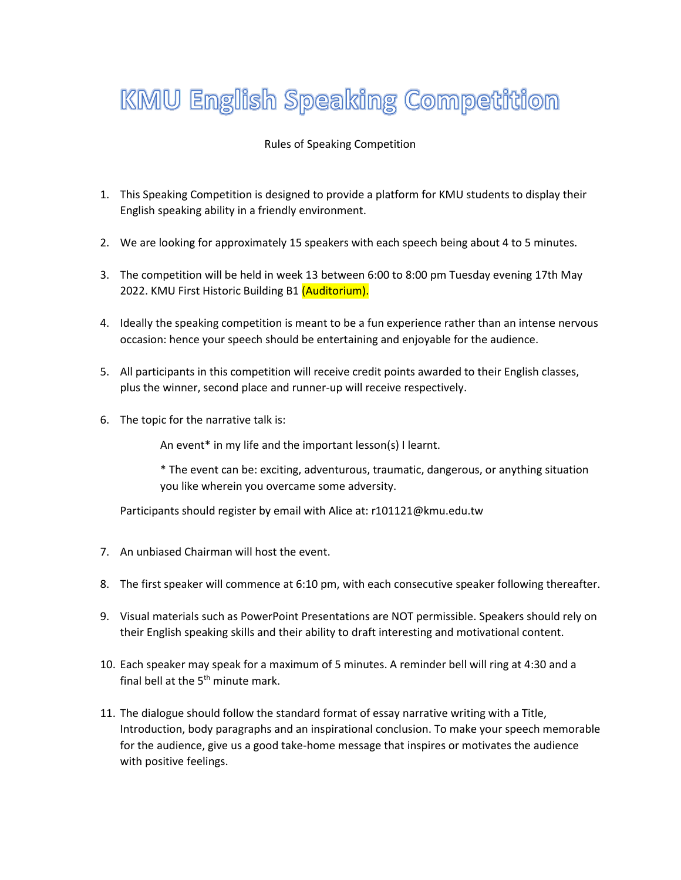## **KMU English Speaking Competition**

## Rules of Speaking Competition

- 1. This Speaking Competition is designed to provide a platform for KMU students to display their English speaking ability in a friendly environment.
- 2. We are looking for approximately 15 speakers with each speech being about 4 to 5 minutes.
- 3. The competition will be held in week 13 between 6:00 to 8:00 pm Tuesday evening 17th May 2022. KMU First Historic Building B1 (Auditorium).
- 4. Ideally the speaking competition is meant to be a fun experience rather than an intense nervous occasion: hence your speech should be entertaining and enjoyable for the audience.
- 5. All participants in this competition will receive credit points awarded to their English classes, plus the winner, second place and runner-up will receive respectively.
- 6. The topic for the narrative talk is:

An event\* in my life and the important lesson(s) I learnt.

\* The event can be: exciting, adventurous, traumatic, dangerous, or anything situation you like wherein you overcame some adversity.

Participants should register by email with Alice at: r101121@kmu.edu.tw

- 7. An unbiased Chairman will host the event.
- 8. The first speaker will commence at 6:10 pm, with each consecutive speaker following thereafter.
- 9. Visual materials such as PowerPoint Presentations are NOT permissible. Speakers should rely on their English speaking skills and their ability to draft interesting and motivational content.
- 10. Each speaker may speak for a maximum of 5 minutes. A reminder bell will ring at 4:30 and a final bell at the 5<sup>th</sup> minute mark.
- 11. The dialogue should follow the standard format of essay narrative writing with a Title, Introduction, body paragraphs and an inspirational conclusion. To make your speech memorable for the audience, give us a good take-home message that inspires or motivates the audience with positive feelings.